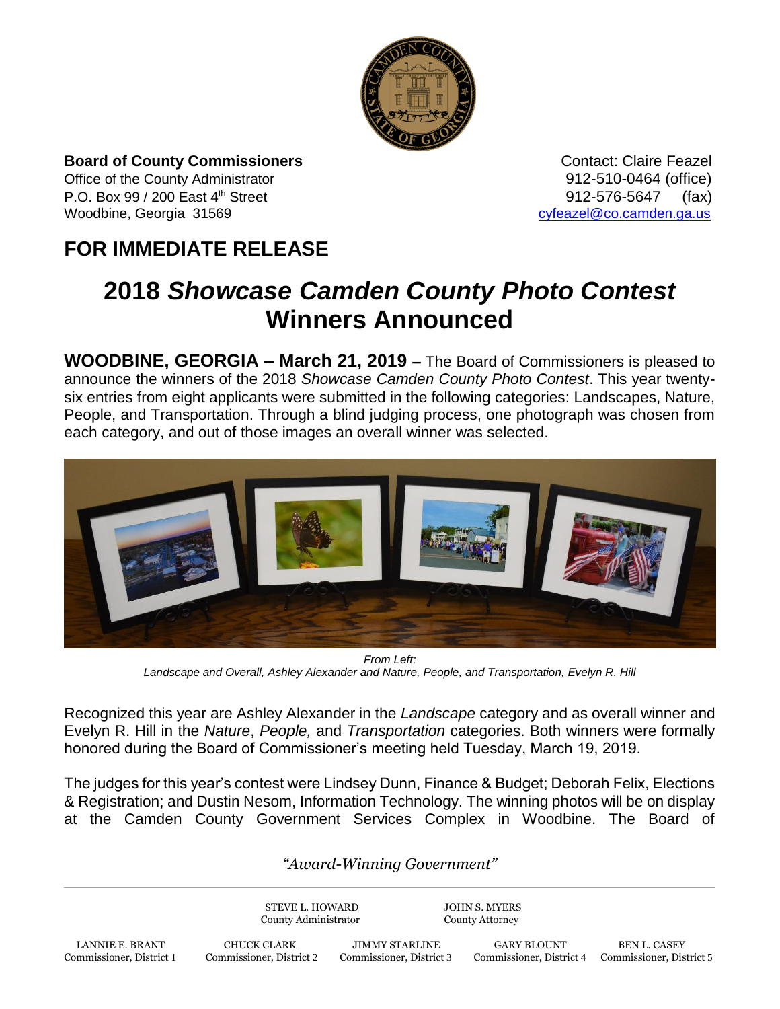

**Board of County Commissioners CONTER 1999** Contact: Claire Feazel Office of the County Administrator 912-510-0464 (office) P.O. Box 99 / 200 East 4<sup>th</sup> Street 912-576-5647 (fax) Woodbine, Georgia 31569 [cyfeazel@co.camden.ga.us](mailto:cyfeazel@co.camden.ga.us)

## **FOR IMMEDIATE RELEASE**

## **2018** *Showcase Camden County Photo Contest*  **Winners Announced**

**WOODBINE, GEORGIA – March 21, 2019 –** The Board of Commissioners is pleased to announce the winners of the 2018 *Showcase Camden County Photo Contest*. This year twentysix entries from eight applicants were submitted in the following categories: Landscapes, Nature, People, and Transportation. Through a blind judging process, one photograph was chosen from each category, and out of those images an overall winner was selected.



*From Left: Landscape and Overall, Ashley Alexander and Nature, People, and Transportation, Evelyn R. Hill*

Recognized this year are Ashley Alexander in the *Landscape* category and as overall winner and Evelyn R. Hill in the *Nature*, *People,* and *Transportation* categories. Both winners were formally honored during the Board of Commissioner's meeting held Tuesday, March 19, 2019.

The judges for this year's contest were Lindsey Dunn, Finance & Budget; Deborah Felix, Elections & Registration; and Dustin Nesom, Information Technology. The winning photos will be on display at the Camden County Government Services Complex in Woodbine. The Board of

*"Award-Winning Government"*

STEVE L. HOWARD JOHN S. MYERS County Administrator County Attorney